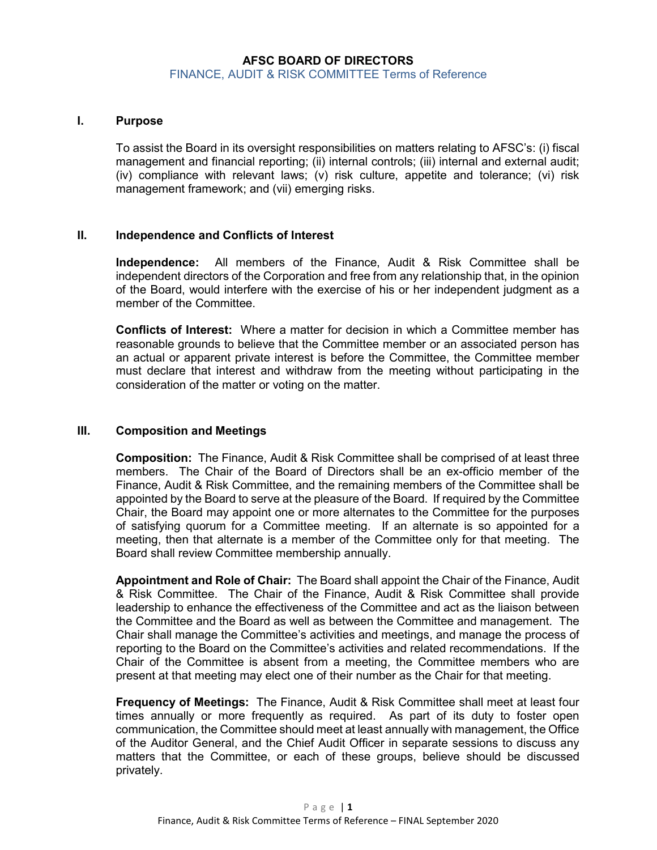# **AFSC BOARD OF DIRECTORS** FINANCE, AUDIT & RISK COMMITTEE Terms of Reference

### **I. Purpose**

To assist the Board in its oversight responsibilities on matters relating to AFSC's: (i) fiscal management and financial reporting; (ii) internal controls; (iii) internal and external audit; (iv) compliance with relevant laws; (v) risk culture, appetite and tolerance; (vi) risk management framework; and (vii) emerging risks.

#### **II. Independence and Conflicts of Interest**

**Independence:** All members of the Finance, Audit & Risk Committee shall be independent directors of the Corporation and free from any relationship that, in the opinion of the Board, would interfere with the exercise of his or her independent judgment as a member of the Committee.

**Conflicts of Interest:** Where a matter for decision in which a Committee member has reasonable grounds to believe that the Committee member or an associated person has an actual or apparent private interest is before the Committee, the Committee member must declare that interest and withdraw from the meeting without participating in the consideration of the matter or voting on the matter.

### **III. Composition and Meetings**

**Composition:** The Finance, Audit & Risk Committee shall be comprised of at least three members. The Chair of the Board of Directors shall be an ex-officio member of the Finance, Audit & Risk Committee, and the remaining members of the Committee shall be appointed by the Board to serve at the pleasure of the Board. If required by the Committee Chair, the Board may appoint one or more alternates to the Committee for the purposes of satisfying quorum for a Committee meeting. If an alternate is so appointed for a meeting, then that alternate is a member of the Committee only for that meeting. The Board shall review Committee membership annually.

**Appointment and Role of Chair:** The Board shall appoint the Chair of the Finance, Audit & Risk Committee. The Chair of the Finance, Audit & Risk Committee shall provide leadership to enhance the effectiveness of the Committee and act as the liaison between the Committee and the Board as well as between the Committee and management. The Chair shall manage the Committee's activities and meetings, and manage the process of reporting to the Board on the Committee's activities and related recommendations. If the Chair of the Committee is absent from a meeting, the Committee members who are present at that meeting may elect one of their number as the Chair for that meeting.

**Frequency of Meetings:** The Finance, Audit & Risk Committee shall meet at least four times annually or more frequently as required. As part of its duty to foster open communication, the Committee should meet at least annually with management, the Office of the Auditor General, and the Chief Audit Officer in separate sessions to discuss any matters that the Committee, or each of these groups, believe should be discussed privately.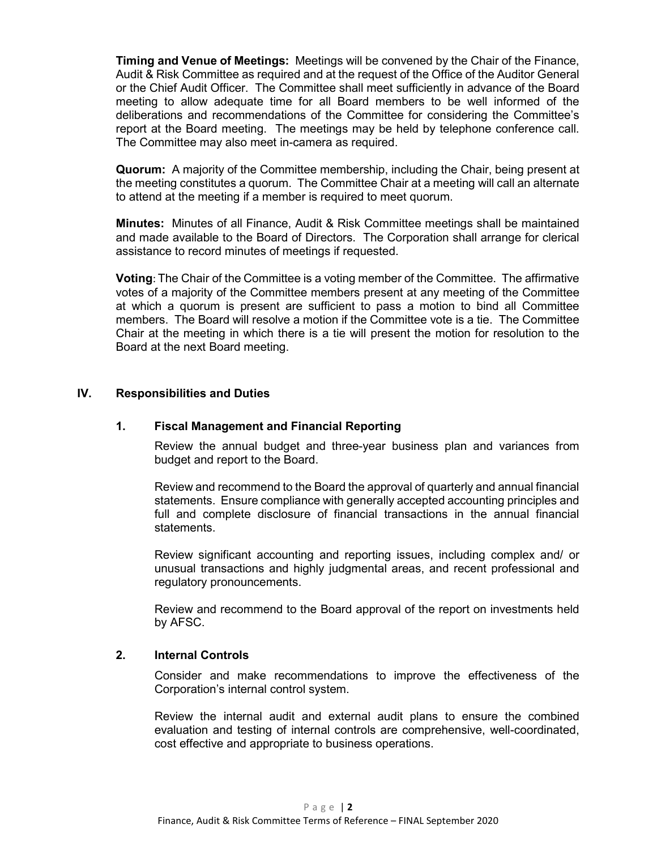**Timing and Venue of Meetings:** Meetings will be convened by the Chair of the Finance, Audit & Risk Committee as required and at the request of the Office of the Auditor General or the Chief Audit Officer. The Committee shall meet sufficiently in advance of the Board meeting to allow adequate time for all Board members to be well informed of the deliberations and recommendations of the Committee for considering the Committee's report at the Board meeting. The meetings may be held by telephone conference call. The Committee may also meet in-camera as required.

**Quorum:** A majority of the Committee membership, including the Chair, being present at the meeting constitutes a quorum. The Committee Chair at a meeting will call an alternate to attend at the meeting if a member is required to meet quorum.

**Minutes:** Minutes of all Finance, Audit & Risk Committee meetings shall be maintained and made available to the Board of Directors. The Corporation shall arrange for clerical assistance to record minutes of meetings if requested.

**Voting**: The Chair of the Committee is a voting member of the Committee. The affirmative votes of a majority of the Committee members present at any meeting of the Committee at which a quorum is present are sufficient to pass a motion to bind all Committee members. The Board will resolve a motion if the Committee vote is a tie. The Committee Chair at the meeting in which there is a tie will present the motion for resolution to the Board at the next Board meeting.

## **IV. Responsibilities and Duties**

### **1. Fiscal Management and Financial Reporting**

Review the annual budget and three-year business plan and variances from budget and report to the Board.

Review and recommend to the Board the approval of quarterly and annual financial statements. Ensure compliance with generally accepted accounting principles and full and complete disclosure of financial transactions in the annual financial statements.

Review significant accounting and reporting issues, including complex and/ or unusual transactions and highly judgmental areas, and recent professional and regulatory pronouncements.

Review and recommend to the Board approval of the report on investments held by AFSC.

### **2. Internal Controls**

Consider and make recommendations to improve the effectiveness of the Corporation's internal control system.

Review the internal audit and external audit plans to ensure the combined evaluation and testing of internal controls are comprehensive, well-coordinated, cost effective and appropriate to business operations.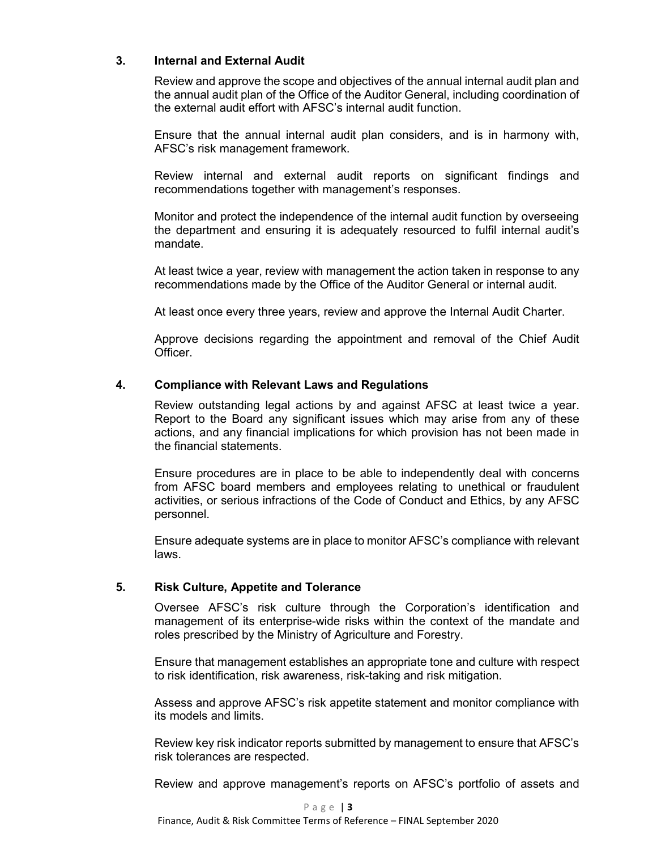# **3. Internal and External Audit**

Review and approve the scope and objectives of the annual internal audit plan and the annual audit plan of the Office of the Auditor General, including coordination of the external audit effort with AFSC's internal audit function.

Ensure that the annual internal audit plan considers, and is in harmony with, AFSC's risk management framework.

Review internal and external audit reports on significant findings and recommendations together with management's responses.

Monitor and protect the independence of the internal audit function by overseeing the department and ensuring it is adequately resourced to fulfil internal audit's mandate.

At least twice a year, review with management the action taken in response to any recommendations made by the Office of the Auditor General or internal audit.

At least once every three years, review and approve the Internal Audit Charter.

Approve decisions regarding the appointment and removal of the Chief Audit Officer.

### **4. Compliance with Relevant Laws and Regulations**

Review outstanding legal actions by and against AFSC at least twice a year. Report to the Board any significant issues which may arise from any of these actions, and any financial implications for which provision has not been made in the financial statements.

Ensure procedures are in place to be able to independently deal with concerns from AFSC board members and employees relating to unethical or fraudulent activities, or serious infractions of the Code of Conduct and Ethics, by any AFSC personnel.

Ensure adequate systems are in place to monitor AFSC's compliance with relevant laws.

### **5. Risk Culture, Appetite and Tolerance**

Oversee AFSC's risk culture through the Corporation's identification and management of its enterprise-wide risks within the context of the mandate and roles prescribed by the Ministry of Agriculture and Forestry.

Ensure that management establishes an appropriate tone and culture with respect to risk identification, risk awareness, risk-taking and risk mitigation.

Assess and approve AFSC's risk appetite statement and monitor compliance with its models and limits.

Review key risk indicator reports submitted by management to ensure that AFSC's risk tolerances are respected.

Review and approve management's reports on AFSC's portfolio of assets and